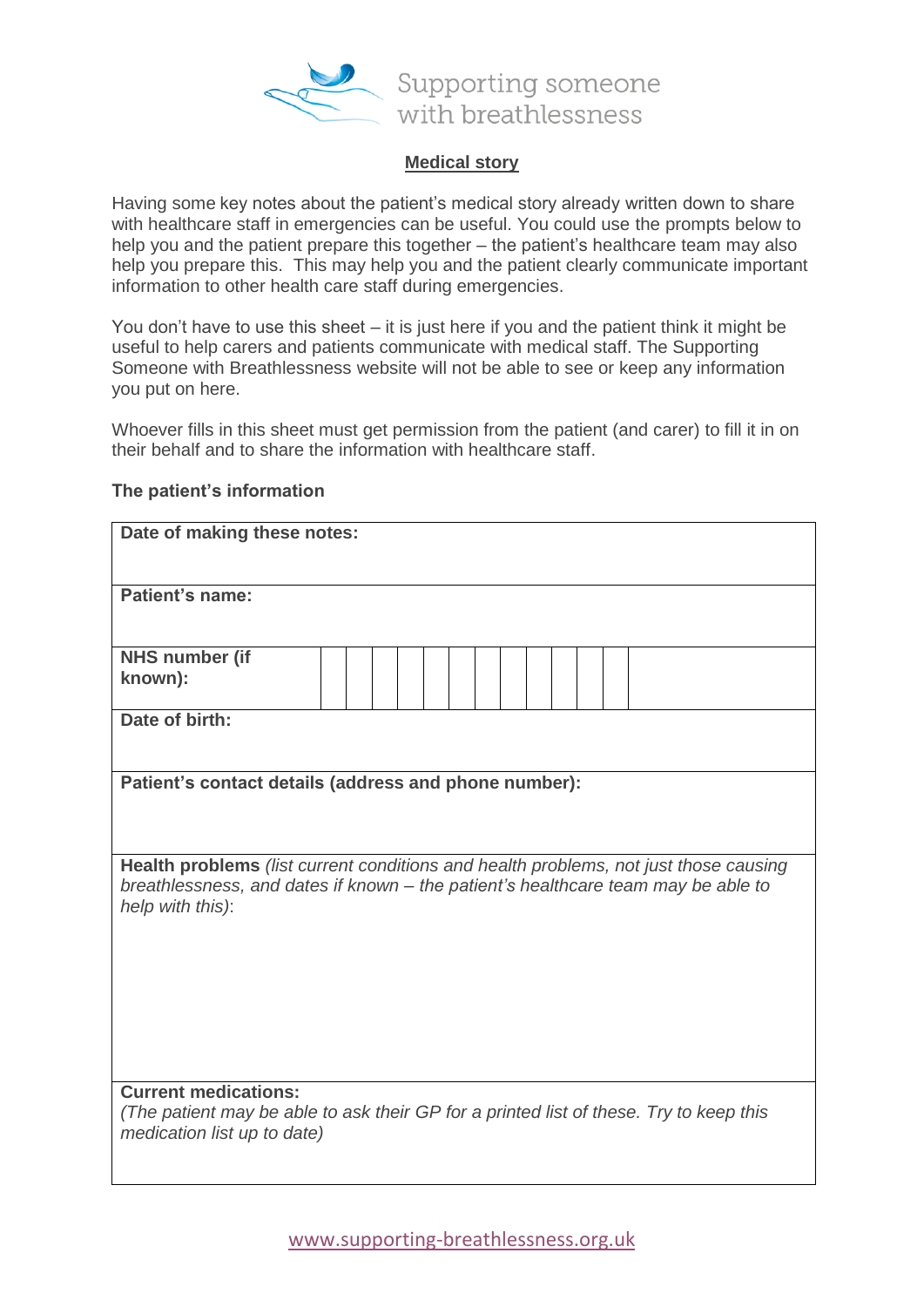

## **Medical story**

Having some key notes about the patient's medical story already written down to share with healthcare staff in emergencies can be useful. You could use the prompts below to help you and the patient prepare this together – the patient's healthcare team may also help you prepare this. This may help you and the patient clearly communicate important information to other health care staff during emergencies.

You don't have to use this sheet – it is just here if you and the patient think it might be useful to help carers and patients communicate with medical staff. The Supporting Someone with Breathlessness website will not be able to see or keep any information you put on here.

Whoever fills in this sheet must get permission from the patient (and carer) to fill it in on their behalf and to share the information with healthcare staff.

| Date of making these notes:                                                                                                                                                                   |  |  |  |  |
|-----------------------------------------------------------------------------------------------------------------------------------------------------------------------------------------------|--|--|--|--|
| Patient's name:                                                                                                                                                                               |  |  |  |  |
| <b>NHS number (if</b><br>known):                                                                                                                                                              |  |  |  |  |
| Date of birth:                                                                                                                                                                                |  |  |  |  |
| Patient's contact details (address and phone number):                                                                                                                                         |  |  |  |  |
| Health problems (list current conditions and health problems, not just those causing<br>breathlessness, and dates if known - the patient's healthcare team may be able to<br>help with this): |  |  |  |  |
|                                                                                                                                                                                               |  |  |  |  |
| <b>Current medications:</b><br>(The patient may be able to ask their GP for a printed list of these. Try to keep this<br>medication list up to date)                                          |  |  |  |  |

## **The patient's information**